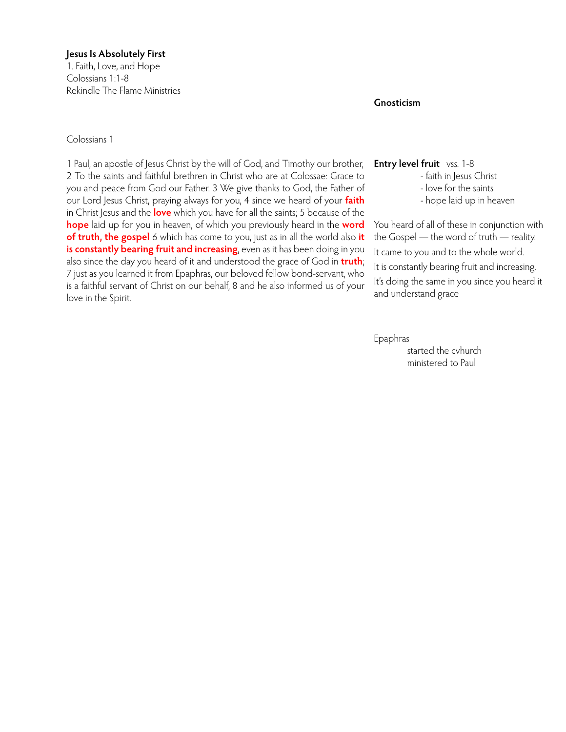**Jesus Is Absolutely First** 1. Faith, Love, and Hope Colossians 1:1-8 Rekindle The Flame Ministries

#### Colossians 1

1 Paul, an apostle of Jesus Christ by the will of God, and Timothy our brother, 2 To the saints and faithful brethren in Christ who are at Colossae: Grace to you and peace from God our Father. 3 We give thanks to God, the Father of our Lord Jesus Christ, praying always for you, 4 since we heard of your **faith** in Christ Jesus and the **love** which you have for all the saints; 5 because of the **hope** laid up for you in heaven, of which you previously heard in the **word of truth, the gospel** 6 which has come to you, just as in all the world also **it is constantly bearing fruit and increasing**, even as it has been doing in you also since the day you heard of it and understood the grace of God in **truth**; 7 just as you learned it from Epaphras, our beloved fellow bond-servant, who is a faithful servant of Christ on our behalf, 8 and he also informed us of your love in the Spirit.

#### **Gnosticism**

#### **Entry level fruit** vss. 1-8

- faith in Jesus Christ
- love for the saints
- hope laid up in heaven

You heard of all of these in conjunction with the Gospel — the word of truth — reality. It came to you and to the whole world. It is constantly bearing fruit and increasing. It's doing the same in you since you heard it and understand grace

Epaphras

started the cvhurch ministered to Paul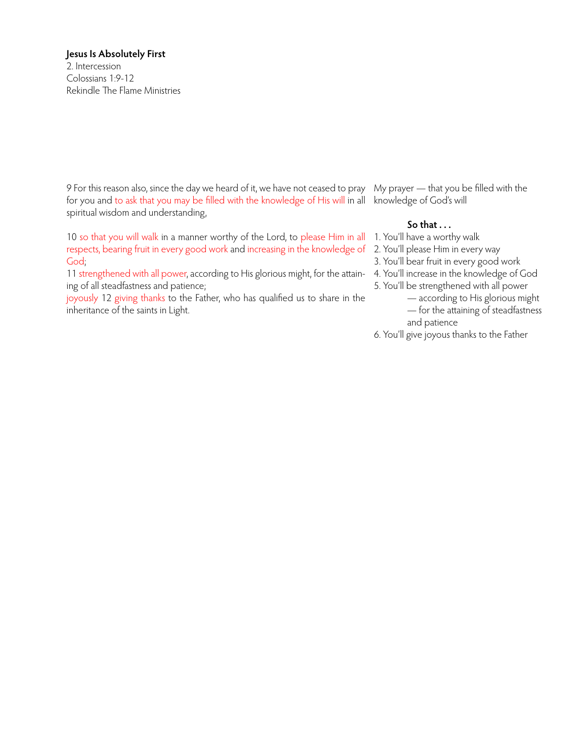2. Intercession Colossians 1:9-12 Rekindle The Flame Ministries

9 For this reason also, since the day we heard of it, we have not ceased to pray My prayer — that you be filled with the for you and to ask that you may be filled with the knowledge of His will in all knowledge of God's will spiritual wisdom and understanding,

10 so that you will walk in a manner worthy of the Lord, to please Him in all respects, bearing fruit in every good work and increasing in the knowledge of God;

11 strengthened with all power, according to His glorious might, for the attaining of all steadfastness and patience;

joyously 12 giving thanks to the Father, who has qualified us to share in the inheritance of the saints in Light.

#### **So that . . .**

- 1. You'll have a worthy walk
- 2. You'll please Him in every way
- 3. You'll bear fruit in every good work
- 4. You'll increase in the knowledge of God
- 5. You'll be strengthened with all power
	- according to His glorious might — for the attaining of steadfastness and patience
- 6. You'll give joyous thanks to the Father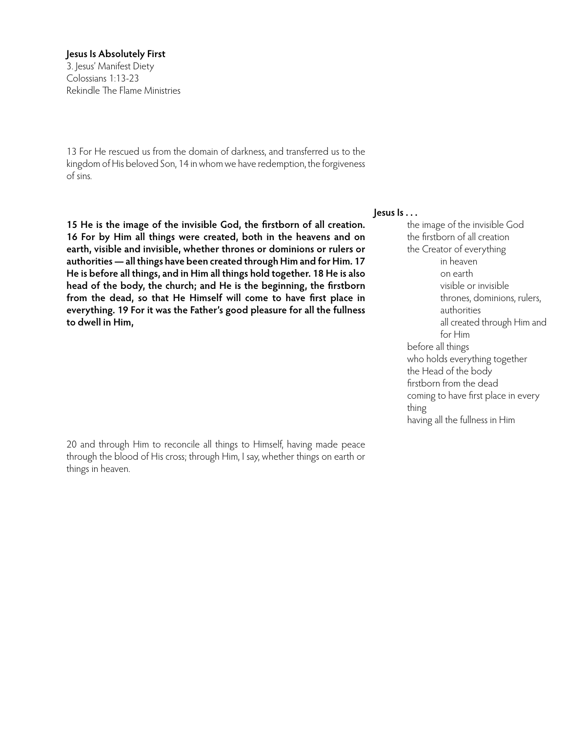3. Jesus' Manifest Diety Colossians 1:13-23 Rekindle The Flame Ministries

13 For He rescued us from the domain of darkness, and transferred us to the kingdom of His beloved Son, 14 in whom we have redemption, the forgiveness of sins.

**15 He is the image of the invisible God, the firstborn of all creation. 16 For by Him all things were created, both in the heavens and on earth, visible and invisible, whether thrones or dominions or rulers or authorities — all things have been created through Him and for Him. 17 He is before all things, and in Him all things hold together. 18 He is also head of the body, the church; and He is the beginning, the firstborn from the dead, so that He Himself will come to have first place in everything. 19 For it was the Father's good pleasure for all the fullness to dwell in Him,** 

20 and through Him to reconcile all things to Himself, having made peace through the blood of His cross; through Him, I say, whether things on earth or things in heaven.

#### **Jesus Is . . .**

the image of the invisible God the firstborn of all creation the Creator of everything in heaven on earth visible or invisible thrones, dominions, rulers, authorities all created through Him and for Him before all things who holds everything together the Head of the body firstborn from the dead coming to have first place in every thing having all the fullness in Him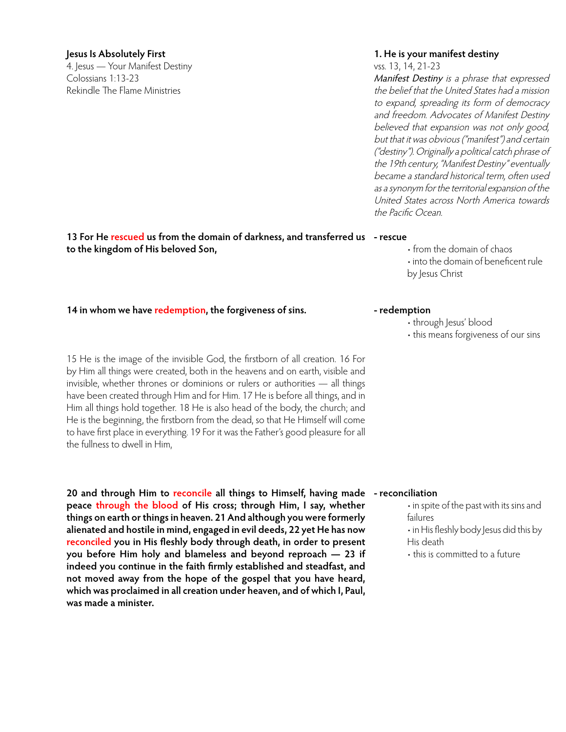4. Jesus — Your Manifest Destiny Colossians 1:13-23 Rekindle The Flame Ministries

## **1. He is your manifest destiny**

vss. 13, 14, 21-23

Manifest Destiny is a phrase that expressed the belief that the United States had a mission to expand, spreading its form of democracy and freedom. Advocates of Manifest Destiny believed that expansion was not only good, but that it was obvious ("manifest") and certain ("destiny"). Originally a political catch phrase of the 19th century, "Manifest Destiny" eventually became a standard historical term, often used as a synonym for the territorial expansion of the United States across North America towards the Pacific Ocean.

**13 For He rescued us from the domain of darkness, and transferred us - rescue**

- from the domain of chaos
- into the domain of beneficent rule by Jesus Christ

#### **- redemption**

- through Jesus' blood
- this means forgiveness of our sins

15 He is the image of the invisible God, the firstborn of all creation. 16 For by Him all things were created, both in the heavens and on earth, visible and invisible, whether thrones or dominions or rulers or authorities — all things have been created through Him and for Him. 17 He is before all things, and in Him all things hold together. 18 He is also head of the body, the church; and He is the beginning, the firstborn from the dead, so that He Himself will come to have first place in everything. 19 For it was the Father's good pleasure for all the fullness to dwell in Him,

**14 in whom we have redemption, the forgiveness of sins.**

**20 and through Him to reconcile all things to Himself, having made - reconciliation peace through the blood of His cross; through Him, I say, whether things on earth or things in heaven. 21 And although you were formerly alienated and hostile in mind, engaged in evil deeds, 22 yet He has now reconciled you in His fleshly body through death, in order to present you before Him holy and blameless and beyond reproach — 23 if indeed you continue in the faith firmly established and steadfast, and not moved away from the hope of the gospel that you have heard, which was proclaimed in all creation under heaven, and of which I, Paul, was made a minister.** 

- in spite of the past with its sins and failures
- in His fleshly body Jesus did this by His death
- this is committed to a future

**to the kingdom of His beloved Son,**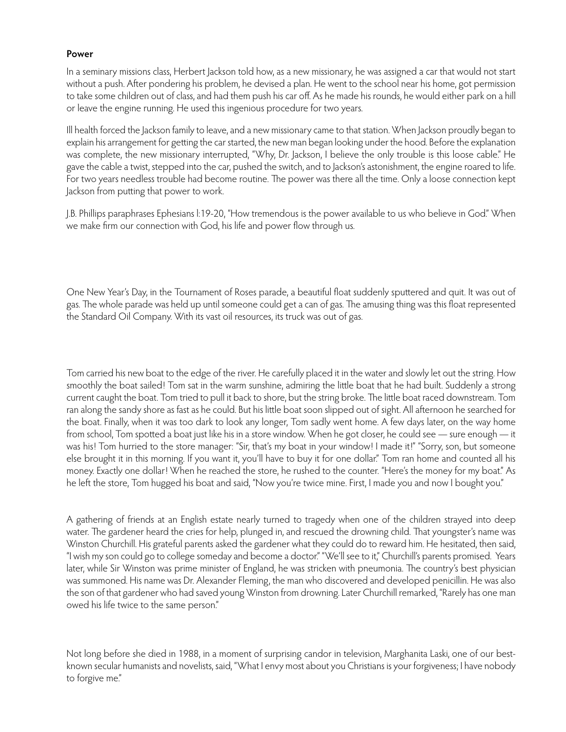#### **Power**

In a seminary missions class, Herbert Jackson told how, as a new missionary, he was assigned a car that would not start without a push. After pondering his problem, he devised a plan. He went to the school near his home, got permission to take some children out of class, and had them push his car off. As he made his rounds, he would either park on a hill or leave the engine running. He used this ingenious procedure for two years.

Ill health forced the Jackson family to leave, and a new missionary came to that station. When Jackson proudly began to explain his arrangement for getting the car started, the new man began looking under the hood. Before the explanation was complete, the new missionary interrupted, "Why, Dr. Jackson, I believe the only trouble is this loose cable." He gave the cable a twist, stepped into the car, pushed the switch, and to Jackson's astonishment, the engine roared to life. For two years needless trouble had become routine. The power was there all the time. Only a loose connection kept Jackson from putting that power to work.

J.B. Phillips paraphrases Ephesians l:19-20, "How tremendous is the power available to us who believe in God." When we make firm our connection with God, his life and power flow through us.

One New Year's Day, in the Tournament of Roses parade, a beautiful float suddenly sputtered and quit. It was out of gas. The whole parade was held up until someone could get a can of gas. The amusing thing was this float represented the Standard Oil Company. With its vast oil resources, its truck was out of gas.

Tom carried his new boat to the edge of the river. He carefully placed it in the water and slowly let out the string. How smoothly the boat sailed! Tom sat in the warm sunshine, admiring the little boat that he had built. Suddenly a strong current caught the boat. Tom tried to pull it back to shore, but the string broke. The little boat raced downstream. Tom ran along the sandy shore as fast as he could. But his little boat soon slipped out of sight. All afternoon he searched for the boat. Finally, when it was too dark to look any longer, Tom sadly went home. A few days later, on the way home from school, Tom spotted a boat just like his in a store window. When he got closer, he could see — sure enough — it was his! Tom hurried to the store manager: "Sir, that's my boat in your window! I made it!" "Sorry, son, but someone else brought it in this morning. If you want it, you'll have to buy it for one dollar." Tom ran home and counted all his money. Exactly one dollar! When he reached the store, he rushed to the counter. "Here's the money for my boat." As he left the store, Tom hugged his boat and said, "Now you're twice mine. First, I made you and now I bought you."

A gathering of friends at an English estate nearly turned to tragedy when one of the children strayed into deep water. The gardener heard the cries for help, plunged in, and rescued the drowning child. That youngster's name was Winston Churchill. His grateful parents asked the gardener what they could do to reward him. He hesitated, then said, "I wish my son could go to college someday and become a doctor." "We'll see to it," Churchill's parents promised. Years later, while Sir Winston was prime minister of England, he was stricken with pneumonia. The country's best physician was summoned. His name was Dr. Alexander Fleming, the man who discovered and developed penicillin. He was also the son of that gardener who had saved young Winston from drowning. Later Churchill remarked, "Rarely has one man owed his life twice to the same person."

Not long before she died in 1988, in a moment of surprising candor in television, Marghanita Laski, one of our bestknown secular humanists and novelists, said, "What I envy most about you Christians is your forgiveness; I have nobody to forgive me."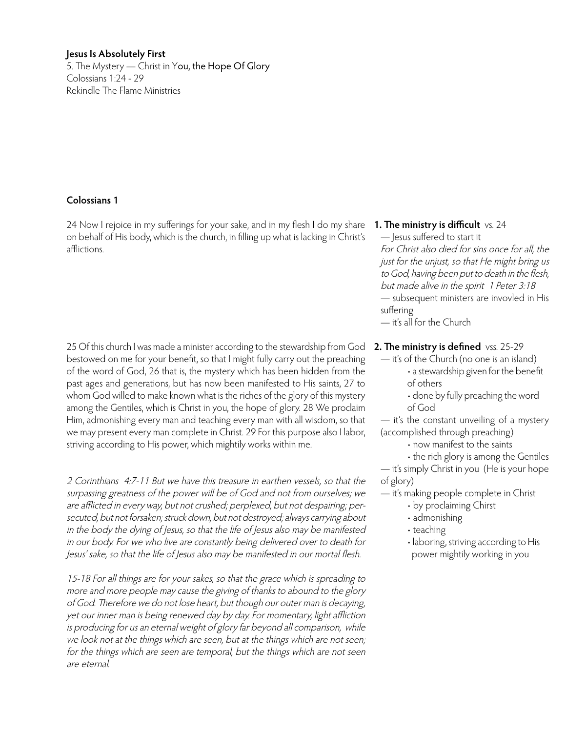5. The Mystery — Christ in You, the Hope Of Glory Colossians 1:24 - 29 Rekindle The Flame Ministries

#### **Colossians 1**

24 Now I rejoice in my sufferings for your sake, and in my flesh I do my share on behalf of His body, which is the church, in filling up what is lacking in Christ's afflictions.

25 Of this church I was made a minister according to the stewardship from God bestowed on me for your benefit, so that I might fully carry out the preaching of the word of God, 26 that is, the mystery which has been hidden from the past ages and generations, but has now been manifested to His saints, 27 to whom God willed to make known what is the riches of the glory of this mystery among the Gentiles, which is Christ in you, the hope of glory. 28 We proclaim Him, admonishing every man and teaching every man with all wisdom, so that we may present every man complete in Christ. 29 For this purpose also I labor, striving according to His power, which mightily works within me.

2 Corinthians 4:7-11 But we have this treasure in earthen vessels, so that the surpassing greatness of the power will be of God and not from ourselves; we are afflicted in every way, but not crushed; perplexed, but not despairing; persecuted, but not forsaken; struck down, but not destroyed; always carrying about in the body the dying of Jesus, so that the life of Jesus also may be manifested in our body. For we who live are constantly being delivered over to death for Jesus' sake, so that the life of Jesus also may be manifested in our mortal flesh.

15-18 For all things are for your sakes, so that the grace which is spreading to more and more people may cause the giving of thanks to abound to the glory of God. Therefore we do not lose heart, but though our outer man is decaying, yet our inner man is being renewed day by day. For momentary, light affliction is producing for us an eternal weight of glory far beyond all comparison, while we look not at the things which are seen, but at the things which are not seen; for the things which are seen are temporal, but the things which are not seen are eternal.

#### **1. The ministry is difficult** vs. 24

— Jesus suffered to start it For Christ also died for sins once for all, the just for the unjust, so that He might bring us to God, having been put to death in the flesh, but made alive in the spirit 1 Peter 3:18 — subsequent ministers are invovled in His suffering

- it's all for the Church
- **2. The ministry is defined** vss. 25-29
	- it's of the Church (no one is an island)
		- a stewardship given for the benefit of others
		- done by fully preaching the word of God

— it's the constant unveiling of a mystery (accomplished through preaching)

- now manifest to the saints
- the rich glory is among the Gentiles

— it's simply Christ in you (He is your hope of glory)

- it's making people complete in Christ
	- by proclaiming Chirst
	- admonishing
	- teaching
	- laboring, striving according to His power mightily working in you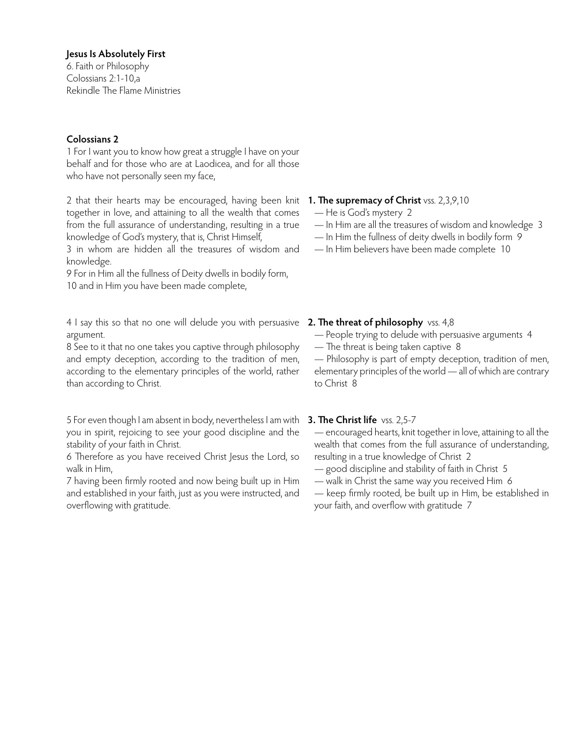6. Faith or Philosophy Colossians 2:1-10,a Rekindle The Flame Ministries

#### **Colossians 2**

1 For I want you to know how great a struggle I have on your behalf and for those who are at Laodicea, and for all those who have not personally seen my face,

2 that their hearts may be encouraged, having been knit together in love, and attaining to all the wealth that comes from the full assurance of understanding, resulting in a true knowledge of God's mystery, that is, Christ Himself,

3 in whom are hidden all the treasures of wisdom and knowledge.

9 For in Him all the fullness of Deity dwells in bodily form, 10 and in Him you have been made complete,

4 I say this so that no one will delude you with persuasive argument.

8 See to it that no one takes you captive through philosophy and empty deception, according to the tradition of men, according to the elementary principles of the world, rather than according to Christ.

5 For even though I am absent in body, nevertheless I am with you in spirit, rejoicing to see your good discipline and the stability of your faith in Christ.

6 Therefore as you have received Christ Jesus the Lord, so walk in Him,

7 having been firmly rooted and now being built up in Him and established in your faith, just as you were instructed, and overflowing with gratitude.

#### **1. The supremacy of Christ** vss. 2,3,9,10

- He is God's mystery 2
- In Him are all the treasures of wisdom and knowledge 3
- In Him the fullness of deity dwells in bodily form 9
- In Him believers have been made complete 10

#### **2. The threat of philosophy** vss. 4,8

- People trying to delude with persuasive arguments 4
- The threat is being taken captive 8

— Philosophy is part of empty deception, tradition of men, elementary principles of the world — all of which are contrary to Christ 8

#### **3. The Christ life** vss. 2,5-7

— encouraged hearts, knit together in love, attaining to all the wealth that comes from the full assurance of understanding, resulting in a true knowledge of Christ 2

- good discipline and stability of faith in Christ 5
- walk in Christ the same way you received Him 6
- keep firmly rooted, be built up in Him, be established in your faith, and overflow with gratitude 7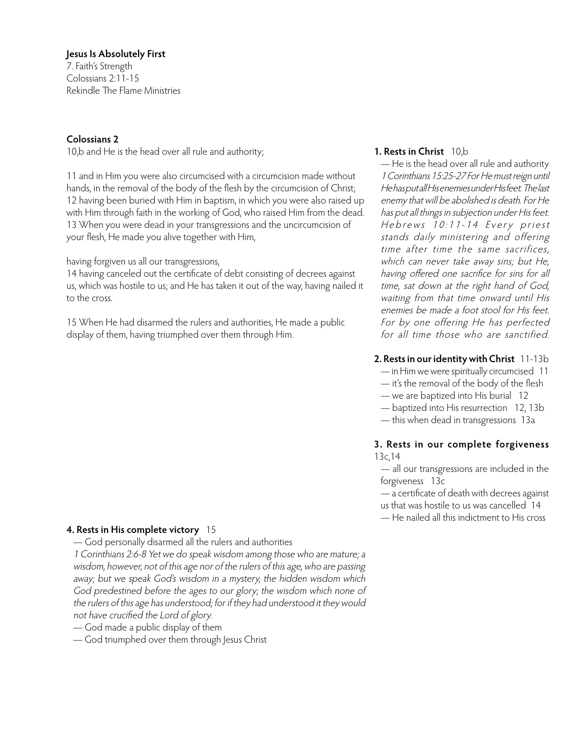7. Faith's Strength Colossians 2:11-15 Rekindle The Flame Ministries

#### **Colossians 2**

10,b and He is the head over all rule and authority;

11 and in Him you were also circumcised with a circumcision made without hands, in the removal of the body of the flesh by the circumcision of Christ; 12 having been buried with Him in baptism, in which you were also raised up with Him through faith in the working of God, who raised Him from the dead. 13 When you were dead in your transgressions and the uncircumcision of your flesh, He made you alive together with Him,

having forgiven us all our transgressions,

14 having canceled out the certificate of debt consisting of decrees against us, which was hostile to us; and He has taken it out of the way, having nailed it to the cross.

15 When He had disarmed the rulers and authorities, He made a public display of them, having triumphed over them through Him.

#### **1. Rests in Christ** 10,b

— He is the head over all rule and authority 1 Corinthians 15:25-27 For He must reign until He has put all His enemies under His feet. The last enemy that will be abolished is death. For He has put all things in subjection under His feet. Hebrews 10:11-14 Every priest stands daily ministering and offering time after time the same sacrifices, which can never take away sins; but He, having offered one sacrifice for sins for all time, sat down at the right hand of God, waiting from that time onward until His enemies be made a foot stool for His feet. For by one offering He has perfected for all time those who are sanctified.

#### **2. Rests in our identity with Christ** 11-13b

— in Him we were spiritually circumcised 11

- it's the removal of the body of the flesh
- we are baptized into His burial 12
- baptized into His resurrection 12, 13b
- this when dead in transgressions 13a

#### **3. Rests in our complete forgiveness**  13c,14

— all our transgressions are included in the forgiveness 13c

— a certificate of death with decrees against

us that was hostile to us was cancelled 14

— He nailed all this indictment to His cross

#### **4. Rests in His complete victory** 15

— God personally disarmed all the rulers and authorities

1 Corinthians 2:6-8 Yet we do speak wisdom among those who are mature; a wisdom, however, not of this age nor of the rulers of this age, who are passing away; but we speak God's wisdom in a mystery, the hidden wisdom which God predestined before the ages to our glory; the wisdom which none of the rulers of this age has understood; for if they had understood it they would not have crucified the Lord of glory.

- God made a public display of them
- God triumphed over them through Jesus Christ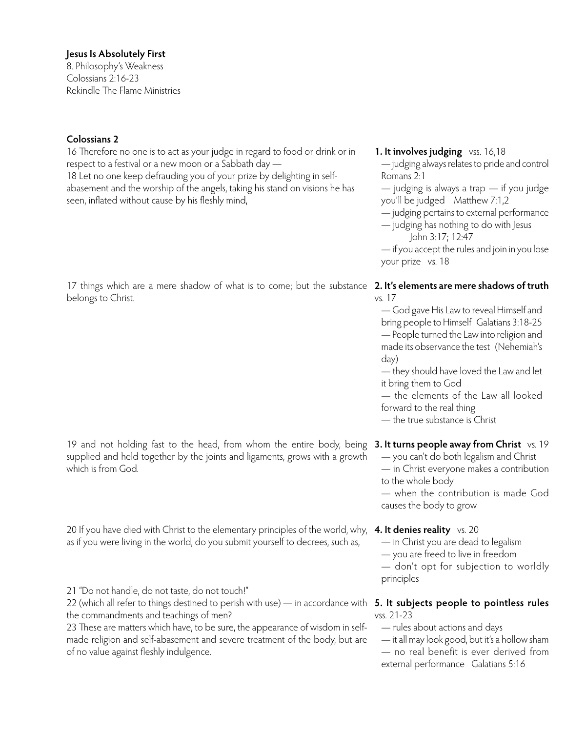8. Philosophy's Weakness Colossians 2:16-23 Rekindle The Flame Ministries

## **Colossians 2**

16 Therefore no one is to act as your judge in regard to food or drink or in respect to a festival or a new moon or a Sabbath day —

18 Let no one keep defrauding you of your prize by delighting in selfabasement and the worship of the angels, taking his stand on visions he has seen, inflated without cause by his fleshly mind,

17 things which are a mere shadow of what is to come; but the substance **2. It's elements are mere shadows of truth** belongs to Christ.

#### 19 and not holding fast to the head, from whom the entire body, being supplied and held together by the joints and ligaments, grows with a growth which is from God.

20 If you have died with Christ to the elementary principles of the world, why, as if you were living in the world, do you submit yourself to decrees, such as,

21 "Do not handle, do not taste, do not touch!"

22 (which all refer to things destined to perish with use) — in accordance with the commandments and teachings of men?

23 These are matters which have, to be sure, the appearance of wisdom in selfmade religion and self-abasement and severe treatment of the body, but are of no value against fleshly indulgence.

#### **1. It involves judging** vss. 16,18

— judging always relates to pride and control Romans 2:1

- judging is always a trap if you judge you'll be judged Matthew 7:1,2
- judging pertains to external performance
- judging has nothing to do with Jesus

John 3:17; 12:47

— if you accept the rules and join in you lose your prize vs. 18

## vs. 17

— God gave His Law to reveal Himself and bring people to Himself Galatians 3:18-25 — People turned the Law into religion and made its observance the test (Nehemiah's day)

— they should have loved the Law and let it bring them to God

— the elements of the Law all looked forward to the real thing

— the true substance is Christ

#### **3. It turns people away from Christ** vs. 19

— you can't do both legalism and Christ

— in Christ everyone makes a contribution to the whole body

— when the contribution is made God causes the body to grow

#### **4. It denies reality** vs. 20

- in Christ you are dead to legalism
- you are freed to live in freedom

— don't opt for subjection to worldly principles

- **5. It subjects people to pointless rules**  vss. 21-23
	- rules about actions and days
	- it all may look good, but it's a hollow sham
	- no real benefit is ever derived from
	- external performance Galatians 5:16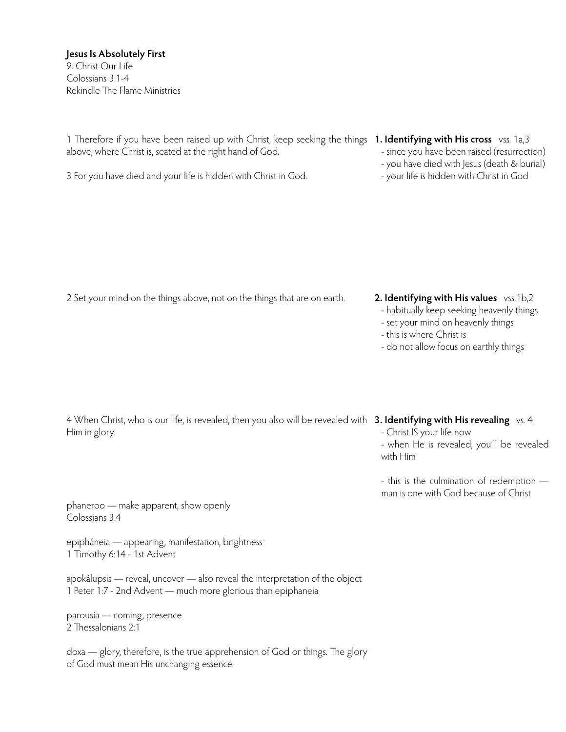9. Christ Our Life Colossians 3:1-4 Rekindle The Flame Ministries

1 Therefore if you have been raised up with Christ, keep seeking the things **1. Identifying with His cross** vss. 1a,3 above, where Christ is, seated at the right hand of God.

3 For you have died and your life is hidden with Christ in God.

- 
- since you have been raised (resurrection)
- you have died with Jesus (death & burial)
- your life is hidden with Christ in God

2 Set your mind on the things above, not on the things that are on earth.

- **2. Identifying with His values** vss.1b,2
	- habitually keep seeking heavenly things
	- set your mind on heavenly things
- this is where Christ is
- do not allow focus on earthly things

4 When Christ, who is our life, is revealed, then you also will be revealed with **3. Identifying with His revealing** vs. 4 Him in glory.

- Christ IS your life now

- when He is revealed, you'll be revealed with Him

- this is the culmination of redemption man is one with God because of Christ

phaneroo — make apparent, show openly Colossians 3:4

epipháneia — appearing, manifestation, brightness 1 Timothy 6:14 - 1st Advent

apokálupsis — reveal, uncover — also reveal the interpretation of the object 1 Peter 1:7 - 2nd Advent — much more glorious than epiphaneia

parousía — coming, presence 2 Thessalonians 2<sup>-1</sup>

doxa — glory, therefore, is the true apprehension of God or things. The glory of God must mean His unchanging essence.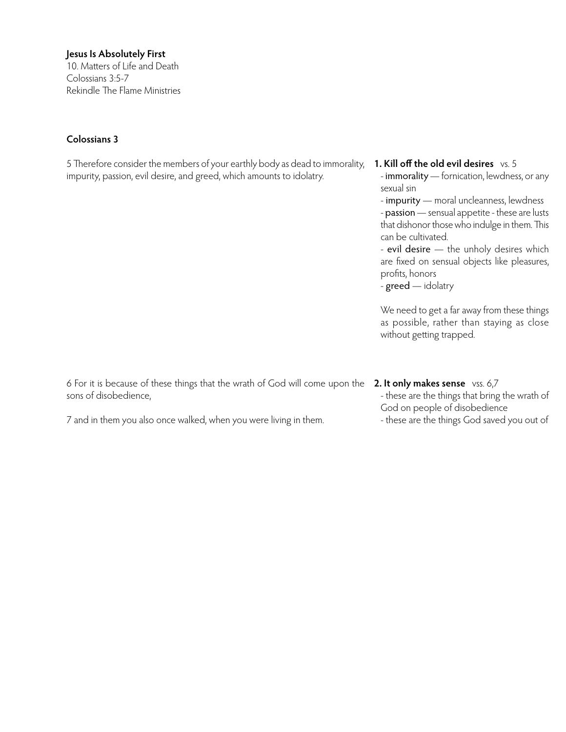10. Matters of Life and Death Colossians 3:5-7 Rekindle The Flame Ministries

#### **Colossians 3**

5 Therefore consider the members of your earthly body as dead to immorality, impurity, passion, evil desire, and greed, which amounts to idolatry.

#### **1. Kill off the old evil desires** vs. 5

- immorality — fornication, lewdness, or any sexual sin

- impurity — moral uncleanness, lewdness - passion - sensual appetite - these are lusts that dishonor those who indulge in them. This can be cultivated.

- evil desire - the unholy desires which are fixed on sensual objects like pleasures, profits, honors

- greed — idolatry

We need to get a far away from these things as possible, rather than staying as close without getting trapped.

6 For it is because of these things that the wrath of God will come upon the sons of disobedience,

## **2. It only makes sense** vss. 6,7

- these are the things that bring the wrath of God on people of disobedience

- these are the things God saved you out of

7 and in them you also once walked, when you were living in them.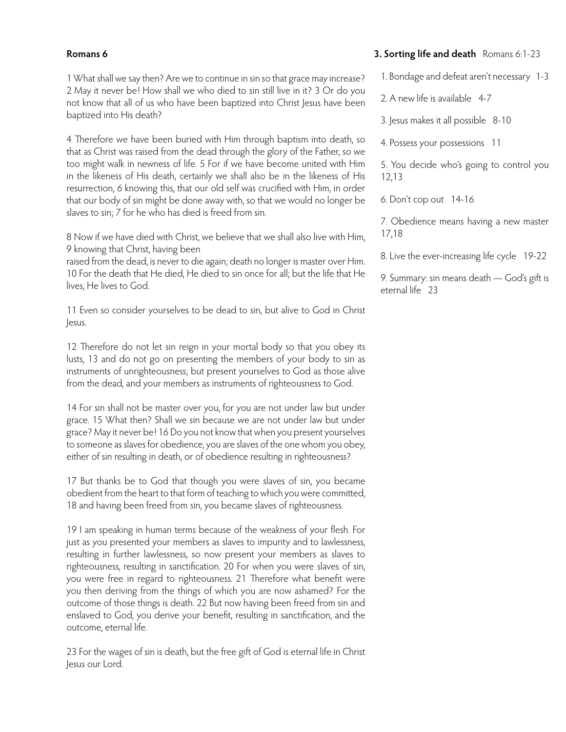#### **Romans 6**

1 What shall we say then? Are we to continue in sin so that grace may increase? 2 May it never be! How shall we who died to sin still live in it? 3 Or do you not know that all of us who have been baptized into Christ Jesus have been baptized into His death?

4 Therefore we have been buried with Him through baptism into death, so that as Christ was raised from the dead through the glory of the Father, so we too might walk in newness of life. 5 For if we have become united with Him in the likeness of His death, certainly we shall also be in the likeness of His resurrection, 6 knowing this, that our old self was crucified with Him, in order that our body of sin might be done away with, so that we would no longer be slaves to sin; 7 for he who has died is freed from sin.

8 Now if we have died with Christ, we believe that we shall also live with Him, 9 knowing that Christ, having been

raised from the dead, is never to die again; death no longer is master over Him. 10 For the death that He died, He died to sin once for all; but the life that He lives, He lives to God.

11 Even so consider yourselves to be dead to sin, but alive to God in Christ Jesus.

12 Therefore do not let sin reign in your mortal body so that you obey its lusts, 13 and do not go on presenting the members of your body to sin as instruments of unrighteousness; but present yourselves to God as those alive from the dead, and your members as instruments of righteousness to God.

14 For sin shall not be master over you, for you are not under law but under grace. 15 What then? Shall we sin because we are not under law but under grace? May it never be! 16 Do you not know that when you present yourselves to someone as slaves for obedience, you are slaves of the one whom you obey, either of sin resulting in death, or of obedience resulting in righteousness?

17 But thanks be to God that though you were slaves of sin, you became obedient from the heart to that form of teaching to which you were committed, 18 and having been freed from sin, you became slaves of righteousness.

19 I am speaking in human terms because of the weakness of your flesh. For just as you presented your members as slaves to impurity and to lawlessness, resulting in further lawlessness, so now present your members as slaves to righteousness, resulting in sanctification. 20 For when you were slaves of sin, you were free in regard to righteousness. 21 Therefore what benefit were you then deriving from the things of which you are now ashamed? For the outcome of those things is death. 22 But now having been freed from sin and enslaved to God, you derive your benefit, resulting in sanctification, and the outcome, eternal life.

23 For the wages of sin is death, but the free gift of God is eternal life in Christ Jesus our Lord.

#### **3. Sorting life and death** Romans 6:1-23

- 1. Bondage and defeat aren't necessary 1-3
- 2. A new life is available 4-7
- 3. Jesus makes it all possible 8-10
- 4. Possess your possessions 11

5. You decide who's going to control you 12,13

6. Don't cop out 14-16

7. Obedience means having a new master 17,18

8. Live the ever-increasing life cycle 19-22

9. Summary: sin means death — God's gift is eternal life 23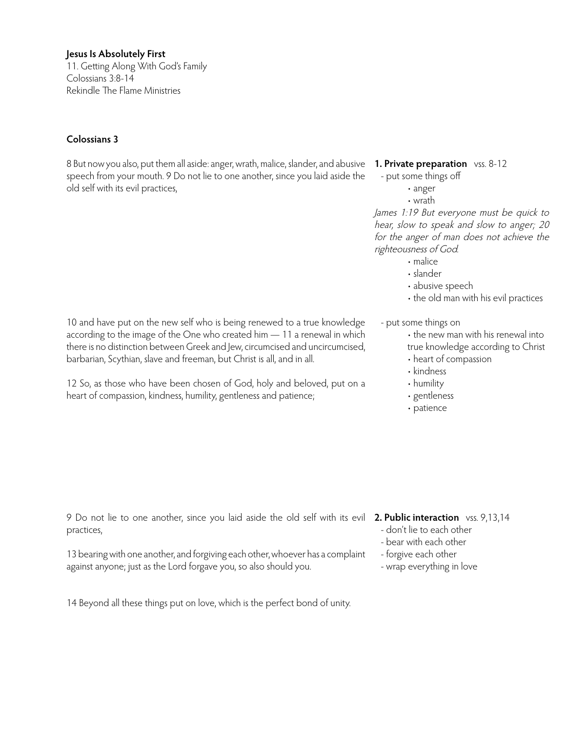11. Getting Along With God's Family Colossians 3:8-14 Rekindle The Flame Ministries

#### **Colossians 3**

8 But now you also, put them all aside: anger, wrath, malice, slander, and abusive speech from your mouth. 9 Do not lie to one another, since you laid aside the old self with its evil practices,

10 and have put on the new self who is being renewed to a true knowledge according to the image of the One who created him — 11 a renewal in which there is no distinction between Greek and Jew, circumcised and uncircumcised,

12 So, as those who have been chosen of God, holy and beloved, put on a

barbarian, Scythian, slave and freeman, but Christ is all, and in all.

heart of compassion, kindness, humility, gentleness and patience;

#### **1. Private preparation** vss. 8-12

- put some things off
	- anger
	- wrath

James 1:19 But everyone must be quick to hear, slow to speak and slow to anger; 20 for the anger of man does not achieve the righteousness of God.

- malice
- slander
- abusive speech
- the old man with his evil practices

- put some things on

- the new man with his renewal into
- true knowledge according to Christ
- heart of compassion
- kindness
- humility
- gentleness
- patience

9 Do not lie to one another, since you laid aside the old self with its evil **2. Public interaction** vss. 9,13,14 practices,

13 bearing with one another, and forgiving each other, whoever has a complaint against anyone; just as the Lord forgave you, so also should you.

14 Beyond all these things put on love, which is the perfect bond of unity.

- - don't lie to each other
	- bear with each other
	- forgive each other
	- wrap everything in love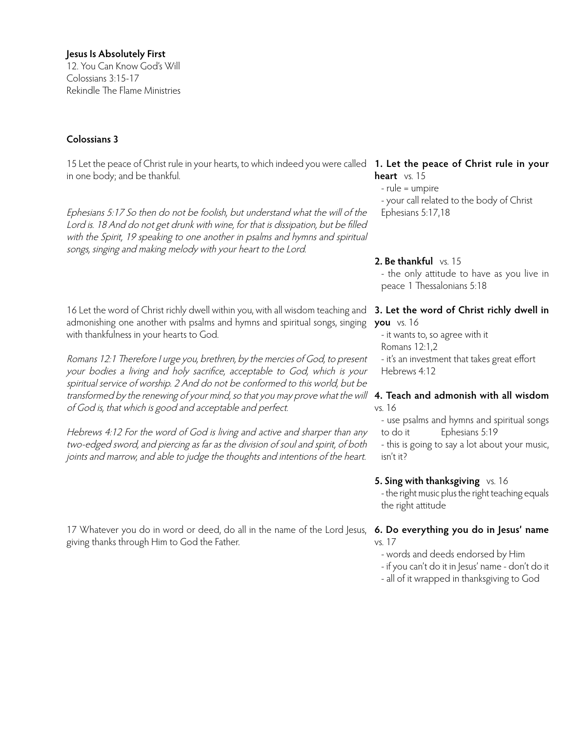**Jesus Is Absolutely First** 12. You Can Know God's Will Colossians 3:15-17 Rekindle The Flame Ministries

#### **Colossians 3**

15 Let the peace of Christ rule in your hearts, to which indeed you were called **1. Let the peace of Christ rule in your**  in one body; and be thankful.

Ephesians 5:17 So then do not be foolish, but understand what the will of the Lord is. 18 And do not get drunk with wine, for that is dissipation, but be filled with the Spirit, 19 speaking to one another in psalms and hymns and spiritual songs, singing and making melody with your heart to the Lord.

16 Let the word of Christ richly dwell within you, with all wisdom teaching and admonishing one another with psalms and hymns and spiritual songs, singing with thankfulness in your hearts to God.

Romans 12:1 Therefore I urge you, brethren, by the mercies of God, to present your bodies a living and holy sacrifice, acceptable to God, which is your spiritual service of worship. 2 And do not be conformed to this world, but be transformed by the renewing of your mind, so that you may prove what the will **4. Teach and admonish with all wisdom** of God is, that which is good and acceptable and perfect.

Hebrews 4:12 For the word of God is living and active and sharper than any two-edged sword, and piercing as far as the division of soul and spirit, of both joints and marrow, and able to judge the thoughts and intentions of the heart.

17 Whatever you do in word or deed, do all in the name of the Lord Jesus, giving thanks through Him to God the Father.

# **heart** vs. 15

- rule = umpire - your call related to the body of Christ Ephesians 5:17,18

**2. Be thankful** vs. 15 - the only attitude to have as you live in peace 1 Thessalonians 5:18

#### **3. Let the word of Christ richly dwell in you** vs. 16

- it wants to, so agree with it Romans 12:1,2 - it's an investment that takes great effort Hebrews 4:12

# vs. 16

- use psalms and hymns and spiritual songs to do it Ephesians 5:19

- this is going to say a lot about your music, isn't it?

#### **5. Sing with thanksgiving** vs. 16

- the right music plus the right teaching equals the right attitude

#### **6. Do everything you do in Jesus' name** vs. 17

- words and deeds endorsed by Him
- if you can't do it in Jesus' name don't do it
- all of it wrapped in thanksgiving to God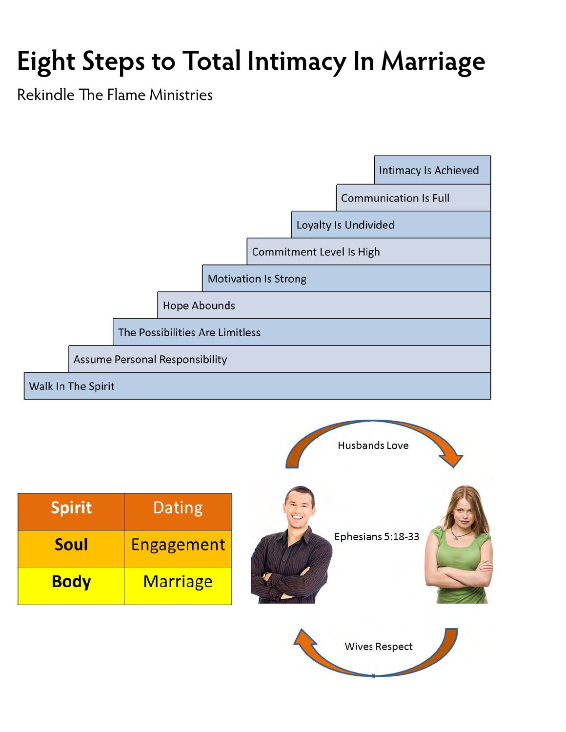# **Eight Steps to Total Intimacy In Marriage**

Rekindle The Flame Ministries



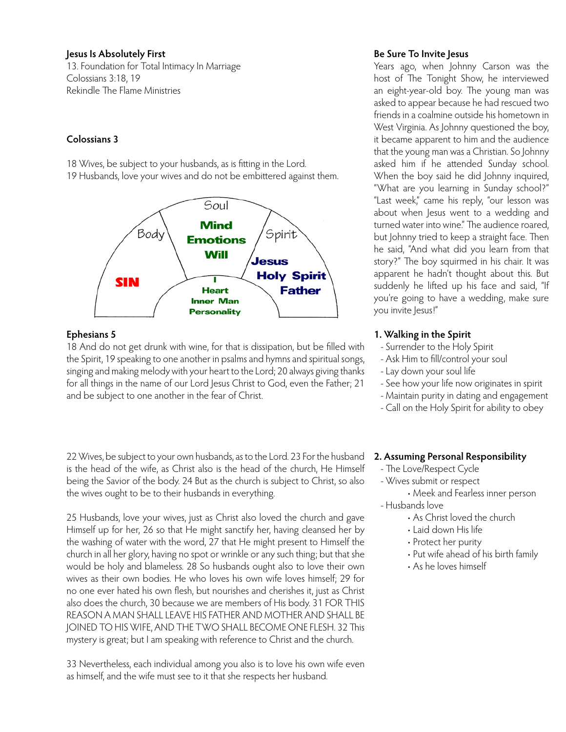13. Foundation for Total Intimacy In Marriage Colossians 3:18, 19 Rekindle The Flame Ministries

#### **Colossians 3**

18 Wives, be subject to your husbands, as is fitting in the Lord. 19 Husbands, love your wives and do not be embittered against them.



#### **Ephesians 5**

18 And do not get drunk with wine, for that is dissipation, but be filled with the Spirit, 19 speaking to one another in psalms and hymns and spiritual songs, singing and making melody with your heart to the Lord; 20 always giving thanks for all things in the name of our Lord Jesus Christ to God, even the Father; 21 and be subject to one another in the fear of Christ.

22 Wives, be subject to your own husbands, as to the Lord. 23 For the husband is the head of the wife, as Christ also is the head of the church, He Himself being the Savior of the body. 24 But as the church is subject to Christ, so also the wives ought to be to their husbands in everything.

25 Husbands, love your wives, just as Christ also loved the church and gave Himself up for her, 26 so that He might sanctify her, having cleansed her by the washing of water with the word, 27 that He might present to Himself the church in all her glory, having no spot or wrinkle or any such thing; but that she would be holy and blameless. 28 So husbands ought also to love their own wives as their own bodies. He who loves his own wife loves himself; 29 for no one ever hated his own flesh, but nourishes and cherishes it, just as Christ also does the church, 30 because we are members of His body. 31 FOR THIS REASON A MAN SHALL LEAVE HIS FATHER AND MOTHER AND SHALL BE JOINED TO HIS WIFE, AND THE TWO SHALL BECOME ONE FLESH. 32 This mystery is great; but I am speaking with reference to Christ and the church.

33 Nevertheless, each individual among you also is to love his own wife even as himself, and the wife must see to it that she respects her husband.

#### **Be Sure To Invite Jesus**

Years ago, when Johnny Carson was the host of The Tonight Show, he interviewed an eight-year-old boy. The young man was asked to appear because he had rescued two friends in a coalmine outside his hometown in West Virginia. As Johnny questioned the boy, it became apparent to him and the audience that the young man was a Christian. So Johnny asked him if he attended Sunday school. When the boy said he did Johnny inquired, "What are you learning in Sunday school?" "Last week," came his reply, "our lesson was about when Jesus went to a wedding and turned water into wine." The audience roared, but Johnny tried to keep a straight face. Then he said, "And what did you learn from that story?" The boy squirmed in his chair. It was apparent he hadn't thought about this. But suddenly he lifted up his face and said, "If you're going to have a wedding, make sure you invite Jesus!"

#### **1. Walking in the Spirit**

- Surrender to the Holy Spirit
- Ask Him to fill/control your soul
- Lay down your soul life
- See how your life now originates in spirit
- Maintain purity in dating and engagement
- Call on the Holy Spirit for ability to obey

#### **2. Assuming Personal Responsibility**

- The Love/Respect Cycle
- Wives submit or respect
	- Meek and Fearless inner person
- Husbands love
	- As Christ loved the church
	- Laid down His life
	- Protect her purity
	- Put wife ahead of his birth family
	- As he loves himself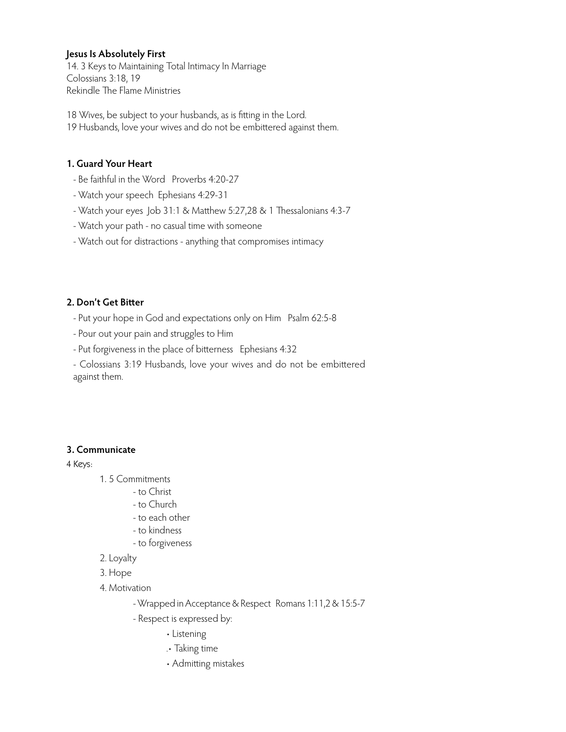14. 3 Keys to Maintaining Total Intimacy In Marriage Colossians 3:18, 19 Rekindle The Flame Ministries

18 Wives, be subject to your husbands, as is fitting in the Lord. 19 Husbands, love your wives and do not be embittered against them.

#### **1. Guard Your Heart**

- Be faithful in the Word Proverbs 4:20-27
- Watch your speech Ephesians 4:29-31
- Watch your eyes Job 31:1 & Matthew 5:27,28 & 1 Thessalonians 4:3-7
- Watch your path no casual time with someone
- Watch out for distractions anything that compromises intimacy

#### **2. Don't Get Bitter**

- Put your hope in God and expectations only on Him Psalm 62:5-8
- Pour out your pain and struggles to Him
- Put forgiveness in the place of bitterness Ephesians 4:32
- Colossians 3:19 Husbands, love your wives and do not be embittered against them.

#### **3. Communicate**

4 Keys:

- 1. 5 Commitments
	- to Christ
	- to Church
	- to each other
	- to kindness
	- to forgiveness
- 2. Loyalty
- 3. Hope
- 4. Motivation
	- Wrapped in Acceptance & Respect Romans 1:11,2 & 15:5-7
	- Respect is expressed by:
		- Listening
		- .• Taking time
		- Admitting mistakes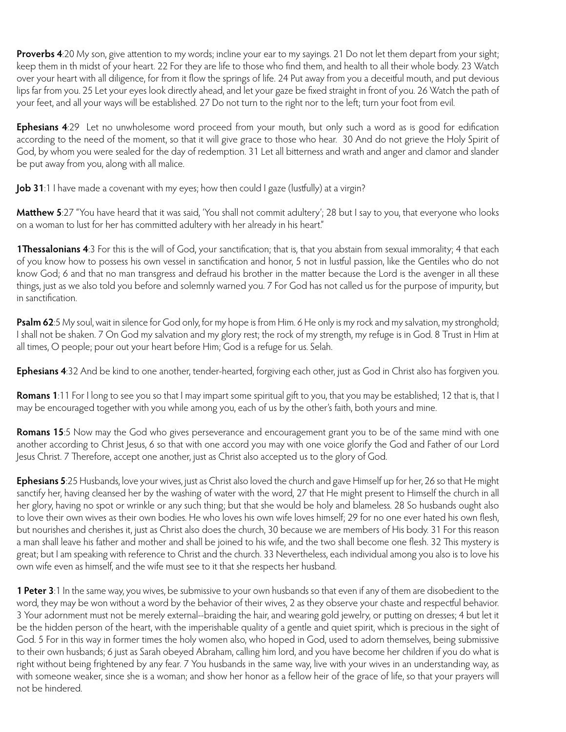**Proverbs 4**:20 My son, give attention to my words; incline your ear to my sayings. 21 Do not let them depart from your sight; keep them in th midst of your heart. 22 For they are life to those who find them, and health to all their whole body. 23 Watch over your heart with all diligence, for from it flow the springs of life. 24 Put away from you a deceitful mouth, and put devious lips far from you. 25 Let your eyes look directly ahead, and let your gaze be fixed straight in front of you. 26 Watch the path of your feet, and all your ways will be established. 27 Do not turn to the right nor to the left; turn your foot from evil.

**Ephesians 4**:29 Let no unwholesome word proceed from your mouth, but only such a word as is good for edification according to the need of the moment, so that it will give grace to those who hear. 30 And do not grieve the Holy Spirit of God, by whom you were sealed for the day of redemption. 31 Let all bitterness and wrath and anger and clamor and slander be put away from you, along with all malice.

**Job 31**:1 I have made a covenant with my eyes; how then could I gaze (lustfully) at a virgin?

**Matthew 5**:27 "You have heard that it was said, 'You shall not commit adultery'; 28 but I say to you, that everyone who looks on a woman to lust for her has committed adultery with her already in his heart."

**1Thessalonians 4**:3 For this is the will of God, your sanctification; that is, that you abstain from sexual immorality; 4 that each of you know how to possess his own vessel in sanctification and honor, 5 not in lustful passion, like the Gentiles who do not know God; 6 and that no man transgress and defraud his brother in the matter because the Lord is the avenger in all these things, just as we also told you before and solemnly warned you. 7 For God has not called us for the purpose of impurity, but in sanctification.

**Psalm 62**:5 My soul, wait in silence for God only, for my hope is from Him. 6 He only is my rock and my salvation, my stronghold; I shall not be shaken. 7 On God my salvation and my glory rest; the rock of my strength, my refuge is in God. 8 Trust in Him at all times, O people; pour out your heart before Him; God is a refuge for us. Selah.

**Ephesians 4**:32 And be kind to one another, tender-hearted, forgiving each other, just as God in Christ also has forgiven you.

Romans 1:11 For I long to see you so that I may impart some spiritual gift to you, that you may be established; 12 that is, that I may be encouraged together with you while among you, each of us by the other's faith, both yours and mine.

**Romans 15**:5 Now may the God who gives perseverance and encouragement grant you to be of the same mind with one another according to Christ Jesus, 6 so that with one accord you may with one voice glorify the God and Father of our Lord Jesus Christ. 7 Therefore, accept one another, just as Christ also accepted us to the glory of God.

**Ephesians 5**:25 Husbands, love your wives, just as Christ also loved the church and gave Himself up for her, 26 so that He might sanctify her, having cleansed her by the washing of water with the word, 27 that He might present to Himself the church in all her glory, having no spot or wrinkle or any such thing; but that she would be holy and blameless. 28 So husbands ought also to love their own wives as their own bodies. He who loves his own wife loves himself; 29 for no one ever hated his own flesh, but nourishes and cherishes it, just as Christ also does the church, 30 because we are members of His body. 31 For this reason a man shall leave his father and mother and shall be joined to his wife, and the two shall become one flesh. 32 This mystery is great; but I am speaking with reference to Christ and the church. 33 Nevertheless, each individual among you also is to love his own wife even as himself, and the wife must see to it that she respects her husband.

**1 Peter 3**:1 In the same way, you wives, be submissive to your own husbands so that even if any of them are disobedient to the word, they may be won without a word by the behavior of their wives, 2 as they observe your chaste and respectful behavior. 3 Your adornment must not be merely external--braiding the hair, and wearing gold jewelry, or putting on dresses; 4 but let it be the hidden person of the heart, with the imperishable quality of a gentle and quiet spirit, which is precious in the sight of God. 5 For in this way in former times the holy women also, who hoped in God, used to adorn themselves, being submissive to their own husbands; 6 just as Sarah obeyed Abraham, calling him lord, and you have become her children if you do what is right without being frightened by any fear. 7 You husbands in the same way, live with your wives in an understanding way, as with someone weaker, since she is a woman; and show her honor as a fellow heir of the grace of life, so that your prayers will not be hindered.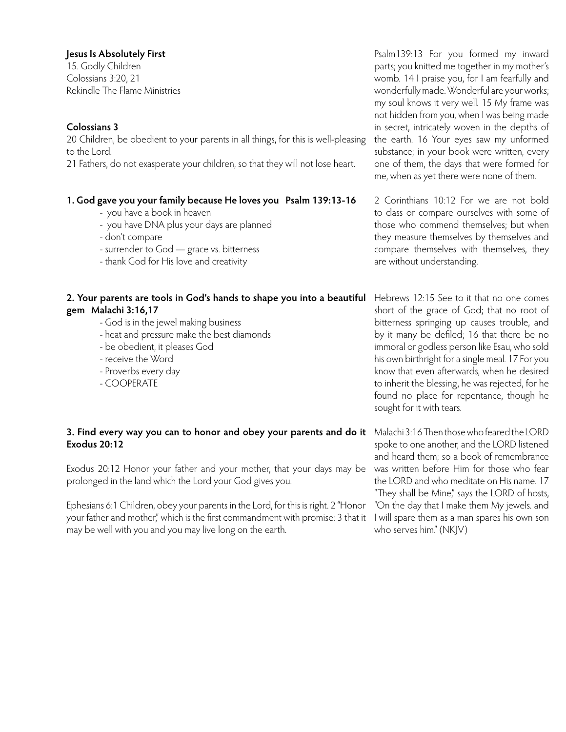15. Godly Children Colossians 3:20, 21 Rekindle The Flame Ministries

#### **Colossians 3**

20 Children, be obedient to your parents in all things, for this is well-pleasing to the Lord.

21 Fathers, do not exasperate your children, so that they will not lose heart.

#### **1. God gave you your family because He loves you Psalm 139:13-16**

- you have a book in heaven
- you have DNA plus your days are planned
- don't compare
- surrender to God grace vs. bitterness
- thank God for His love and creativity

#### **2. Your parents are tools in God's hands to shape you into a beautiful gem Malachi 3:16,17**

- God is in the jewel making business
- heat and pressure make the best diamonds
- be obedient, it pleases God
- receive the Word
- Proverbs every day
- COOPERATE

#### **3. Find every way you can to honor and obey your parents and do it Exodus 20:12**

Exodus 20:12 Honor your father and your mother, that your days may be prolonged in the land which the Lord your God gives you.

Ephesians 6:1 Children, obey your parents in the Lord, for this is right. 2 "Honor your father and mother," which is the first commandment with promise: 3 that it may be well with you and you may live long on the earth.

Psalm139:13 For you formed my inward parts; you knitted me together in my mother's womb. 14 I praise you, for I am fearfully and wonderfully made. Wonderful are your works; my soul knows it very well. 15 My frame was not hidden from you, when I was being made in secret, intricately woven in the depths of the earth. 16 Your eyes saw my unformed substance; in your book were written, every one of them, the days that were formed for me, when as yet there were none of them.

2 Corinthians 10:12 For we are not bold to class or compare ourselves with some of those who commend themselves; but when they measure themselves by themselves and compare themselves with themselves, they are without understanding.

Hebrews 12:15 See to it that no one comes short of the grace of God; that no root of bitterness springing up causes trouble, and by it many be defiled; 16 that there be no immoral or godless person like Esau, who sold his own birthright for a single meal. 17 For you know that even afterwards, when he desired to inherit the blessing, he was rejected, for he found no place for repentance, though he sought for it with tears.

Malachi 3:16 Then those who feared the LORD spoke to one another, and the LORD listened and heard them; so a book of remembrance was written before Him for those who fear the LORD and who meditate on His name. 17 "They shall be Mine," says the LORD of hosts, "On the day that I make them My jewels. and I will spare them as a man spares his own son who serves him." (NKJV)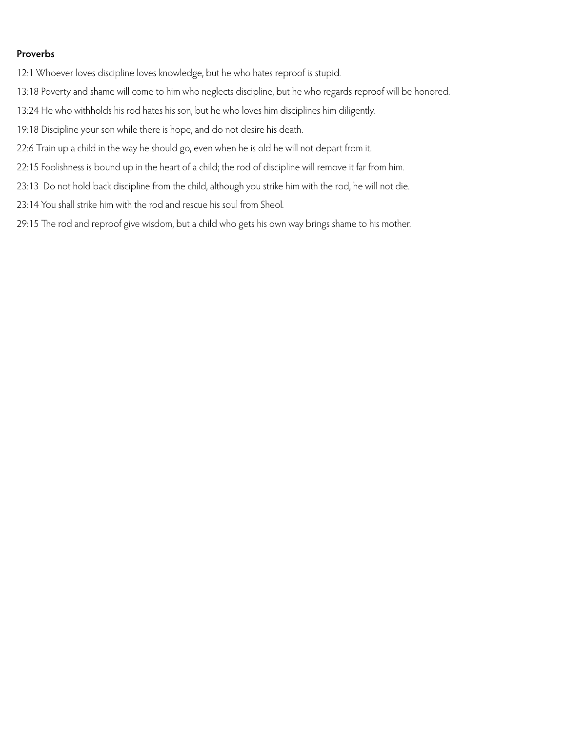#### **Proverbs**

- 12:1 Whoever loves discipline loves knowledge, but he who hates reproof is stupid.
- 13:18 Poverty and shame will come to him who neglects discipline, but he who regards reproof will be honored.
- 13:24 He who withholds his rod hates his son, but he who loves him disciplines him diligently.
- 19:18 Discipline your son while there is hope, and do not desire his death.
- 22:6 Train up a child in the way he should go, even when he is old he will not depart from it.
- 22:15 Foolishness is bound up in the heart of a child; the rod of discipline will remove it far from him.
- 23:13 Do not hold back discipline from the child, although you strike him with the rod, he will not die.
- 23:14 You shall strike him with the rod and rescue his soul from Sheol.
- 29:15 The rod and reproof give wisdom, but a child who gets his own way brings shame to his mother.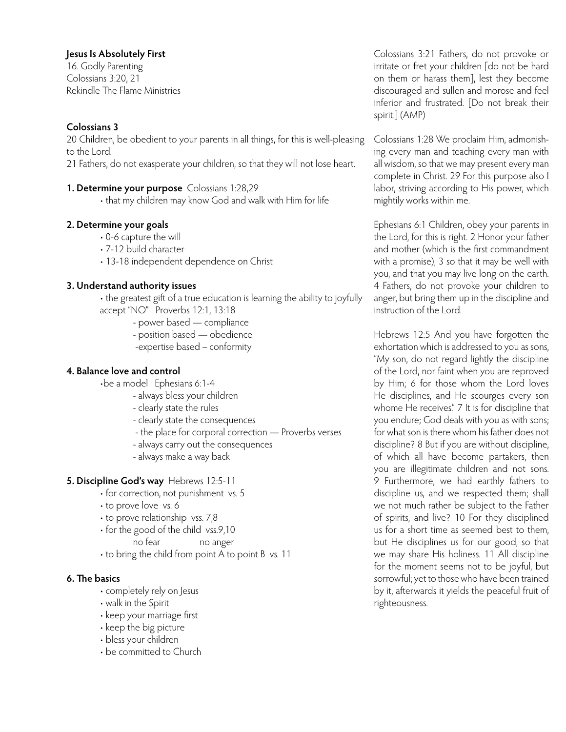16. Godly Parenting Colossians 3:20, 21 Rekindle The Flame Ministries

## **Colossians 3**

20 Children, be obedient to your parents in all things, for this is well-pleasing to the Lord.

21 Fathers, do not exasperate your children, so that they will not lose heart.

## **1. Determine your purpose** Colossians 1:28,29

• that my children may know God and walk with Him for life

## **2. Determine your goals**

- 0-6 capture the will
- 7-12 build character
- 13-18 independent dependence on Christ

## **3. Understand authority issues**

- the greatest gift of a true education is learning the ability to joyfully accept "NO" Proverbs 12:1, 13:18
	- power based compliance
	- position based obedience
	- -expertise based conformity

## **4. Balance love and control**

- •be a model Ephesians 6:1-4
	- always bless your children
	- clearly state the rules
	- clearly state the consequences
	- the place for corporal correction Proverbs verses
	- always carry out the consequences
	- always make a way back

#### **5. Discipline God's way** Hebrews 12:5-11

- for correction, not punishment vs. 5
- to prove love vs. 6
- to prove relationship vss. 7,8
- for the good of the child vss.9,10
	- no fear no anger
- to bring the child from point A to point B vs. 11

#### **6. The basics**

- completely rely on Jesus
- walk in the Spirit
- keep your marriage first
- keep the big picture
- bless your children
- be committed to Church

Colossians 3:21 Fathers, do not provoke or irritate or fret your children [do not be hard on them or harass them], lest they become discouraged and sullen and morose and feel inferior and frustrated. [Do not break their spirit.] (AMP)

Colossians 1:28 We proclaim Him, admonishing every man and teaching every man with all wisdom, so that we may present every man complete in Christ. 29 For this purpose also I labor, striving according to His power, which mightily works within me.

Ephesians 6:1 Children, obey your parents in the Lord, for this is right. 2 Honor your father and mother (which is the first commandment with a promise), 3 so that it may be well with you, and that you may live long on the earth. 4 Fathers, do not provoke your children to anger, but bring them up in the discipline and instruction of the Lord.

Hebrews 12:5 And you have forgotten the exhortation which is addressed to you as sons, "My son, do not regard lightly the discipline of the Lord, nor faint when you are reproved by Him; 6 for those whom the Lord loves He disciplines, and He scourges every son whome He receives." 7 It is for discipline that you endure; God deals with you as with sons; for what son is there whom his father does not discipline? 8 But if you are without discipline, of which all have become partakers, then you are illegitimate children and not sons. 9 Furthermore, we had earthly fathers to discipline us, and we respected them; shall we not much rather be subject to the Father of spirits, and live? 10 For they disciplined us for a short time as seemed best to them, but He disciplines us for our good, so that we may share His holiness. 11 All discipline for the moment seems not to be joyful, but sorrowful; yet to those who have been trained by it, afterwards it yields the peaceful fruit of righteousness.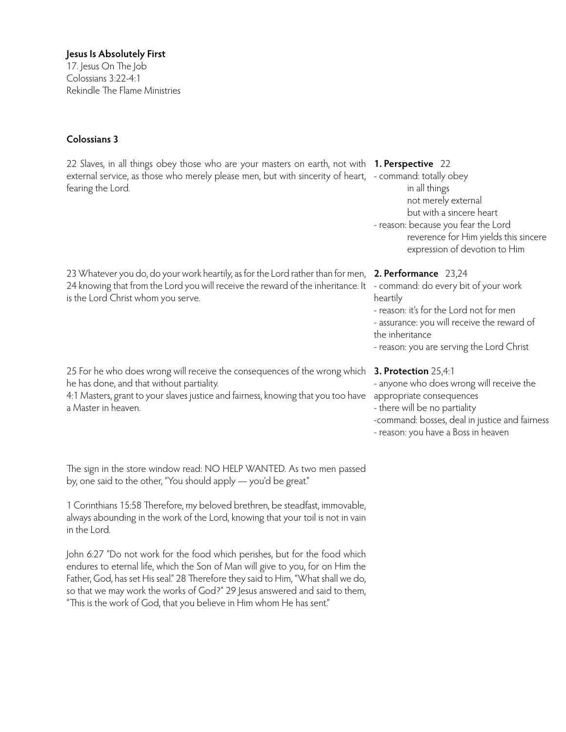17. Jesus On The Job Colossians 3:22-4:1 Rekindle The Flame Ministries

is the Lord Christ whom you serve.

#### **Colossians 3**

22 Slaves, in all things obey those who are your masters on earth, not with **1. Perspective** 22 external service, as those who merely please men, but with sincerity of heart, - command: totally obey fearing the Lord.

in all things not merely external but with a sincere heart - reason: because you fear the Lord reverence for Him yields this sincere expression of devotion to Him

23 Whatever you do, do your work heartily, as for the Lord rather than for men, **2. Performance** 23,24

24 knowing that from the Lord you will receive the reward of the inheritance. It - command: do every bit of your work heartily

- reason: it's for the Lord not for men

- assurance: you will receive the reward of the inheritance

- reason: you are serving the Lord Christ

**3. Protection** 25,4:1

- anyone who does wrong will receive the

appropriate consequences

- there will be no partiality

-command: bosses, deal in justice and fairness

- reason: you have a Boss in heaven

25 For he who does wrong will receive the consequences of the wrong which he has done, and that without partiality.

4:1 Masters, grant to your slaves justice and fairness, knowing that you too have a Master in heaven.

The sign in the store window read: NO HELP WANTED. As two men passed by, one said to the other, "You should apply — you'd be great."

1 Corinthians 15:58 Therefore, my beloved brethren, be steadfast, immovable, always abounding in the work of the Lord, knowing that your toil is not in vain in the Lord.

John 6:27 "Do not work for the food which perishes, but for the food which endures to eternal life, which the Son of Man will give to you, for on Him the Father, God, has set His seal." 28 Therefore they said to Him, "What shall we do, so that we may work the works of God?" 29 Jesus answered and said to them, "This is the work of God, that you believe in Him whom He has sent."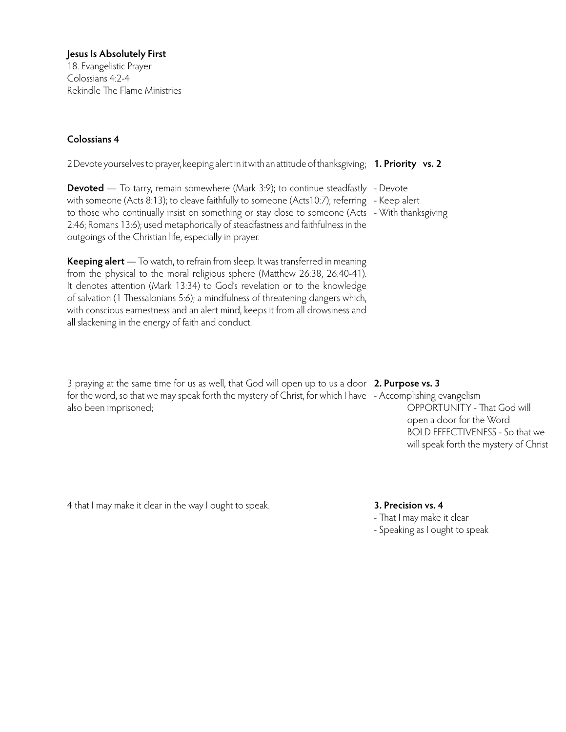**Jesus Is Absolutely First** 18. Evangelistic Prayer Colossians 4:2-4 Rekindle The Flame Ministries

## **Colossians 4**

2 Devote yourselves to prayer, keeping alert in it with an attitude of thanksgiving; **1. Priority vs. 2**

**Devoted** — To tarry, remain somewhere (Mark 3:9); to continue steadfastly - Devote with someone (Acts 8:13); to cleave faithfully to someone (Acts10:7); referring - Keep alert to those who continually insist on something or stay close to someone (Acts - With thanksgiving 2:46; Romans 13:6); used metaphorically of steadfastness and faithfulness in the outgoings of the Christian life, especially in prayer.

**Keeping alert** — To watch, to refrain from sleep. It was transferred in meaning from the physical to the moral religious sphere (Matthew 26:38, 26:40-41). It denotes attention (Mark 13:34) to God's revelation or to the knowledge of salvation (1 Thessalonians 5:6); a mindfulness of threatening dangers which, with conscious earnestness and an alert mind, keeps it from all drowsiness and all slackening in the energy of faith and conduct.

3 praying at the same time for us as well, that God will open up to us a door **2. Purpose vs. 3** for the word, so that we may speak forth the mystery of Christ, for which I have - Accomplishing evangelism also been imprisoned;

OPPORTUNITY - That God will open a door for the Word BOLD EFFECTIVENESS - So that we will speak forth the mystery of Christ

4 that I may make it clear in the way I ought to speak.

#### **3. Precision vs. 4**

- That I may make it clear

- Speaking as I ought to speak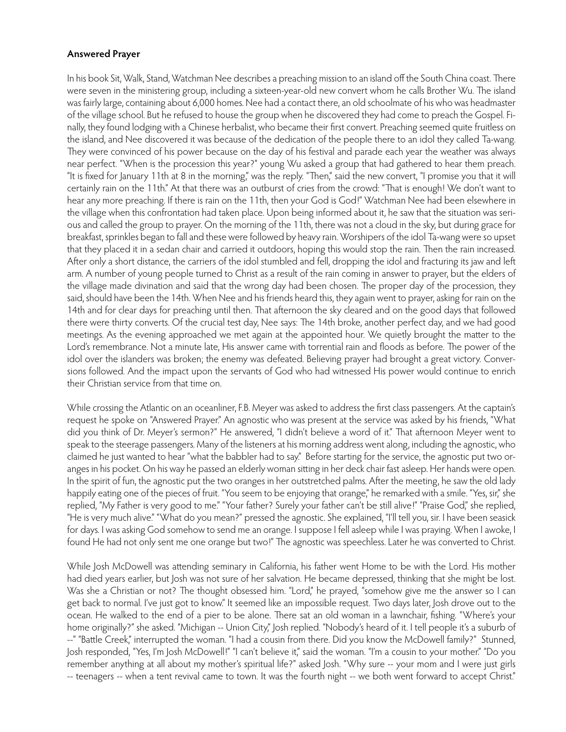#### **Answered Prayer**

In his book Sit, Walk, Stand, Watchman Nee describes a preaching mission to an island off the South China coast. There were seven in the ministering group, including a sixteen-year-old new convert whom he calls Brother Wu. The island was fairly large, containing about 6,000 homes. Nee had a contact there, an old schoolmate of his who was headmaster of the village school. But he refused to house the group when he discovered they had come to preach the Gospel. Finally, they found lodging with a Chinese herbalist, who became their first convert. Preaching seemed quite fruitless on the island, and Nee discovered it was because of the dedication of the people there to an idol they called Ta-wang. They were convinced of his power because on the day of his festival and parade each year the weather was always near perfect. "When is the procession this year?" young Wu asked a group that had gathered to hear them preach. "It is fixed for January 11th at 8 in the morning," was the reply. "Then," said the new convert, "I promise you that it will certainly rain on the 11th." At that there was an outburst of cries from the crowd: "That is enough! We don't want to hear any more preaching. If there is rain on the 11th, then your God is God!" Watchman Nee had been elsewhere in the village when this confrontation had taken place. Upon being informed about it, he saw that the situation was serious and called the group to prayer. On the morning of the 11th, there was not a cloud in the sky, but during grace for breakfast, sprinkles began to fall and these were followed by heavy rain. Worshipers of the idol Ta-wang were so upset that they placed it in a sedan chair and carried it outdoors, hoping this would stop the rain. Then the rain increased. After only a short distance, the carriers of the idol stumbled and fell, dropping the idol and fracturing its jaw and left arm. A number of young people turned to Christ as a result of the rain coming in answer to prayer, but the elders of the village made divination and said that the wrong day had been chosen. The proper day of the procession, they said, should have been the 14th. When Nee and his friends heard this, they again went to prayer, asking for rain on the 14th and for clear days for preaching until then. That afternoon the sky cleared and on the good days that followed there were thirty converts. Of the crucial test day, Nee says: The 14th broke, another perfect day, and we had good meetings. As the evening approached we met again at the appointed hour. We quietly brought the matter to the Lord's remembrance. Not a minute late, His answer came with torrential rain and floods as before. The power of the idol over the islanders was broken; the enemy was defeated. Believing prayer had brought a great victory. Conversions followed. And the impact upon the servants of God who had witnessed His power would continue to enrich their Christian service from that time on.

While crossing the Atlantic on an oceanliner, F.B. Meyer was asked to address the first class passengers. At the captain's request he spoke on "Answered Prayer." An agnostic who was present at the service was asked by his friends, "What did you think of Dr. Meyer's sermon?" He answered, "I didn't believe a word of it." That afternoon Meyer went to speak to the steerage passengers. Many of the listeners at his morning address went along, including the agnostic, who claimed he just wanted to hear "what the babbler had to say." Before starting for the service, the agnostic put two oranges in his pocket. On his way he passed an elderly woman sitting in her deck chair fast asleep. Her hands were open. In the spirit of fun, the agnostic put the two oranges in her outstretched palms. After the meeting, he saw the old lady happily eating one of the pieces of fruit. "You seem to be enjoying that orange," he remarked with a smile. "Yes, sir," she replied, "My Father is very good to me." "Your father? Surely your father can't be still alive!" "Praise God," she replied, "He is very much alive." "What do you mean?" pressed the agnostic. She explained, "I'll tell you, sir. I have been seasick for days. I was asking God somehow to send me an orange. I suppose I fell asleep while I was praying. When I awoke, I found He had not only sent me one orange but two!" The agnostic was speechless. Later he was converted to Christ.

While Josh McDowell was attending seminary in California, his father went Home to be with the Lord. His mother had died years earlier, but Josh was not sure of her salvation. He became depressed, thinking that she might be lost. Was she a Christian or not? The thought obsessed him. "Lord," he prayed, "somehow give me the answer so I can get back to normal. I've just got to know." It seemed like an impossible request. Two days later, Josh drove out to the ocean. He walked to the end of a pier to be alone. There sat an old woman in a lawnchair, fishing. "Where's your home originally?" she asked. "Michigan -- Union City," Josh replied. "Nobody's heard of it. I tell people it's a suburb of --" "Battle Creek," interrupted the woman. "I had a cousin from there. Did you know the McDowell family?" Stunned, Josh responded, "Yes, I'm Josh McDowell!" "I can't believe it," said the woman. "I'm a cousin to your mother." "Do you remember anything at all about my mother's spiritual life?" asked Josh. "Why sure -- your mom and I were just girls -- teenagers -- when a tent revival came to town. It was the fourth night -- we both went forward to accept Christ."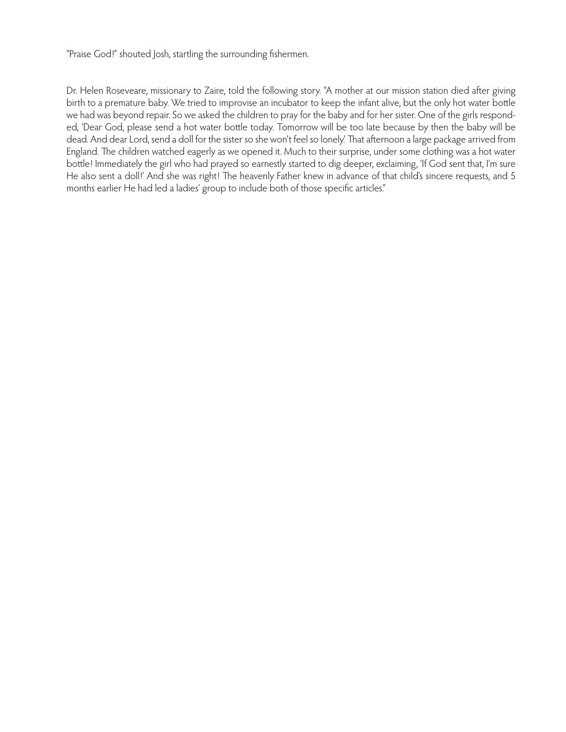"Praise God!" shouted Josh, startling the surrounding fishermen.

Dr. Helen Roseveare, missionary to Zaire, told the following story. "A mother at our mission station died after giving birth to a premature baby. We tried to improvise an incubator to keep the infant alive, but the only hot water bottle we had was beyond repair. So we asked the children to pray for the baby and for her sister. One of the girls responded, 'Dear God, please send a hot water bottle today. Tomorrow will be too late because by then the baby will be dead. And dear Lord, send a doll for the sister so she won't feel so lonely.' That afternoon a large package arrived from England. The children watched eagerly as we opened it. Much to their surprise, under some clothing was a hot water bottle! Immediately the girl who had prayed so earnestly started to dig deeper, exclaiming, 'If God sent that, I'm sure He also sent a doll!' And she was right! The heavenly Father knew in advance of that child's sincere requests, and 5 months earlier He had led a ladies' group to include both of those specific articles."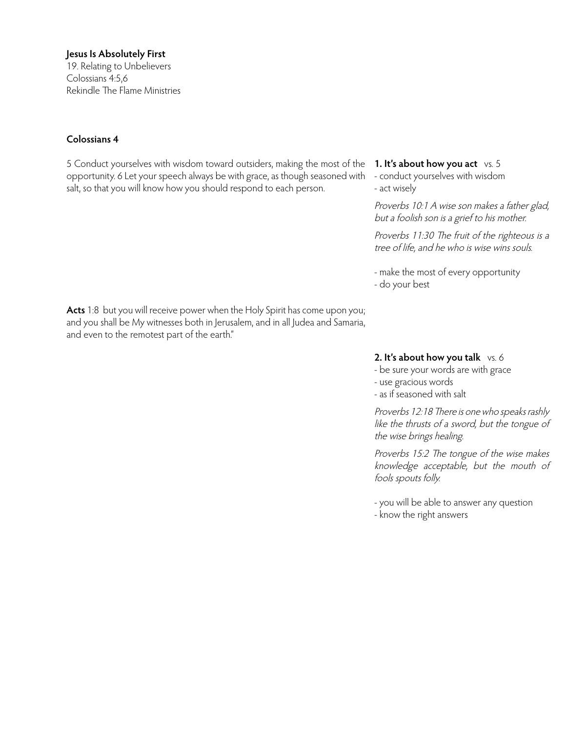**Jesus Is Absolutely First** 19. Relating to Unbelievers Colossians 4:5,6 Rekindle The Flame Ministries

#### **Colossians 4**

5 Conduct yourselves with wisdom toward outsiders, making the most of the opportunity. 6 Let your speech always be with grace, as though seasoned with salt, so that you will know how you should respond to each person.

#### **1. It's about how you act** vs. 5

- conduct yourselves with wisdom - act wisely

Proverbs 10:1 A wise son makes a father glad, but a foolish son is a grief to his mother.

Proverbs 11:30 The fruit of the righteous is a tree of life, and he who is wise wins souls.

- make the most of every opportunity - do your best

**Acts** 1:8 but you will receive power when the Holy Spirit has come upon you; and you shall be My witnesses both in Jerusalem, and in all Judea and Samaria, and even to the remotest part of the earth."

#### **2. It's about how you talk** vs. 6

- be sure your words are with grace

- use gracious words
- as if seasoned with salt

Proverbs 12:18 There is one who speaks rashly like the thrusts of a sword, but the tongue of the wise brings healing.

Proverbs 15:2 The tongue of the wise makes knowledge acceptable, but the mouth of fools spouts folly.

- you will be able to answer any question

- know the right answers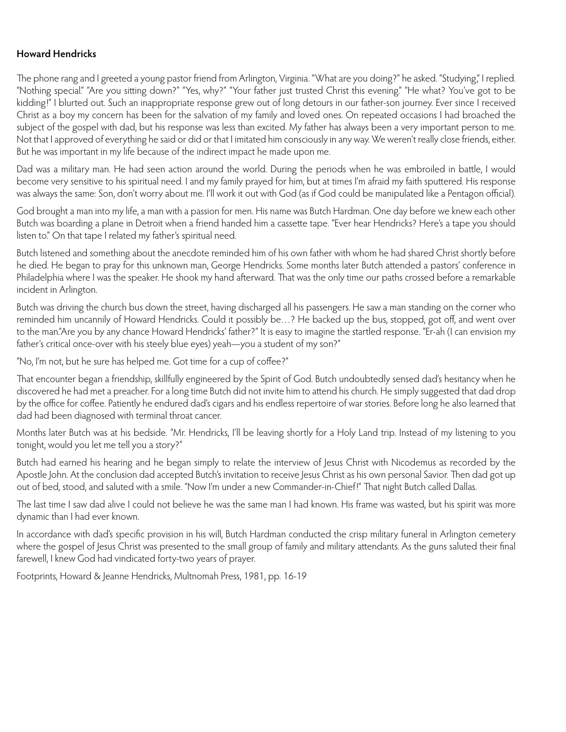#### **Howard Hendricks**

The phone rang and I greeted a young pastor friend from Arlington, Virginia. "What are you doing?" he asked. "Studying," I replied. "Nothing special." "Are you sitting down?" "Yes, why?" "Your father just trusted Christ this evening." "He what? You've got to be kidding!" I blurted out. Such an inappropriate response grew out of long detours in our father-son journey. Ever since I received Christ as a boy my concern has been for the salvation of my family and loved ones. On repeated occasions I had broached the subject of the gospel with dad, but his response was less than excited. My father has always been a very important person to me. Not that I approved of everything he said or did or that I imitated him consciously in any way. We weren't really close friends, either. But he was important in my life because of the indirect impact he made upon me.

Dad was a military man. He had seen action around the world. During the periods when he was embroiled in battle, I would become very sensitive to his spiritual need. I and my family prayed for him, but at times I'm afraid my faith sputtered. His response was always the same: Son, don't worry about me. I'll work it out with God (as if God could be manipulated like a Pentagon official).

God brought a man into my life, a man with a passion for men. His name was Butch Hardman. One day before we knew each other Butch was boarding a plane in Detroit when a friend handed him a cassette tape. "Ever hear Hendricks? Here's a tape you should listen to." On that tape I related my father's spiritual need.

Butch listened and something about the anecdote reminded him of his own father with whom he had shared Christ shortly before he died. He began to pray for this unknown man, George Hendricks. Some months later Butch attended a pastors' conference in Philadelphia where I was the speaker. He shook my hand afterward. That was the only time our paths crossed before a remarkable incident in Arlington.

Butch was driving the church bus down the street, having discharged all his passengers. He saw a man standing on the corner who reminded him uncannily of Howard Hendricks. Could it possibly be…? He backed up the bus, stopped, got off, and went over to the man."Are you by any chance Howard Hendricks' father?" It is easy to imagine the startled response. "Er-ah (I can envision my father's critical once-over with his steely blue eyes) yeah—you a student of my son?"

"No, I'm not, but he sure has helped me. Got time for a cup of coffee?"

That encounter began a friendship, skillfully engineered by the Spirit of God. Butch undoubtedly sensed dad's hesitancy when he discovered he had met a preacher. For a long time Butch did not invite him to attend his church. He simply suggested that dad drop by the office for coffee. Patiently he endured dad's cigars and his endless repertoire of war stories. Before long he also learned that dad had been diagnosed with terminal throat cancer.

Months later Butch was at his bedside. "Mr. Hendricks, I'll be leaving shortly for a Holy Land trip. Instead of my listening to you tonight, would you let me tell you a story?"

Butch had earned his hearing and he began simply to relate the interview of Jesus Christ with Nicodemus as recorded by the Apostle John. At the conclusion dad accepted Butch's invitation to receive Jesus Christ as his own personal Savior. Then dad got up out of bed, stood, and saluted with a smile. "Now I'm under a new Commander-in-Chief!" That night Butch called Dallas.

The last time I saw dad alive I could not believe he was the same man I had known. His frame was wasted, but his spirit was more dynamic than I had ever known.

In accordance with dad's specific provision in his will, Butch Hardman conducted the crisp military funeral in Arlington cemetery where the gospel of Jesus Christ was presented to the small group of family and military attendants. As the guns saluted their final farewell, I knew God had vindicated forty-two years of prayer.

Footprints, Howard & Jeanne Hendricks, Multnomah Press, 1981, pp. 16-19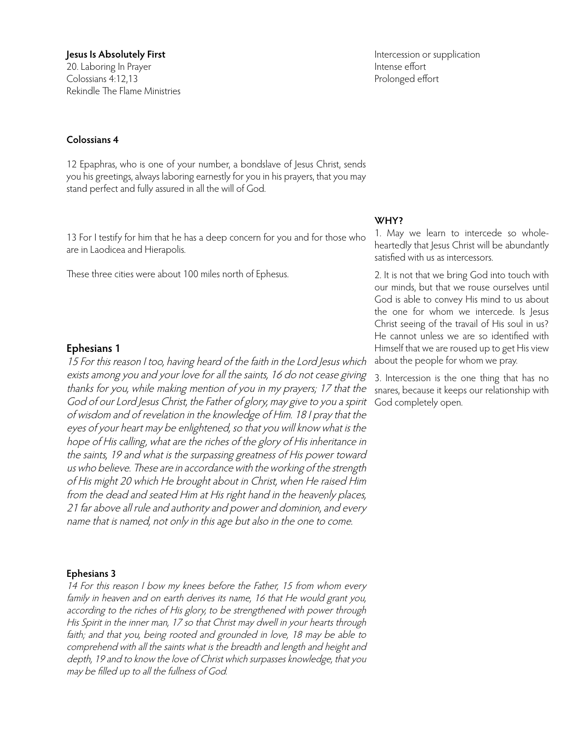20. Laboring In Prayer Colossians 4:12,13 Rekindle The Flame Ministries

#### **Colossians 4**

12 Epaphras, who is one of your number, a bondslave of Jesus Christ, sends you his greetings, always laboring earnestly for you in his prayers, that you may stand perfect and fully assured in all the will of God.

13 For I testify for him that he has a deep concern for you and for those who are in Laodicea and Hierapolis.

These three cities were about 100 miles north of Ephesus.

#### **Ephesians 1**

15 For this reason I too, having heard of the faith in the Lord Jesus which exists among you and your love for all the saints, 16 do not cease giving thanks for you, while making mention of you in my prayers; 17 that the God of our Lord Jesus Christ, the Father of glory, may give to you a spirit of wisdom and of revelation in the knowledge of Him. 18 I pray that the eyes of your heart may be enlightened, so that you will know what is the hope of His calling, what are the riches of the glory of His inheritance in the saints, 19 and what is the surpassing greatness of His power toward us who believe. These are in accordance with the working of the strength of His might 20 which He brought about in Christ, when He raised Him from the dead and seated Him at His right hand in the heavenly places, 21 far above all rule and authority and power and dominion, and every name that is named, not only in this age but also in the one to come.

#### **Ephesians 3**

14 For this reason I bow my knees before the Father, 15 from whom every family in heaven and on earth derives its name, 16 that He would grant you, according to the riches of His glory, to be strengthened with power through His Spirit in the inner man, 17 so that Christ may dwell in your hearts through faith; and that you, being rooted and grounded in love, 18 may be able to comprehend with all the saints what is the breadth and length and height and depth, 19 and to know the love of Christ which surpasses knowledge, that you may be filled up to all the fullness of God.

Intercession or supplication Intense effort Prolonged effort

#### **WHY?**

1. May we learn to intercede so wholeheartedly that Jesus Christ will be abundantly satisfied with us as intercessors.

2. It is not that we bring God into touch with our minds, but that we rouse ourselves until God is able to convey His mind to us about the one for whom we intercede. Is Jesus Christ seeing of the travail of His soul in us? He cannot unless we are so identified with Himself that we are roused up to get His view about the people for whom we pray.

3. Intercession is the one thing that has no snares, because it keeps our relationship with God completely open.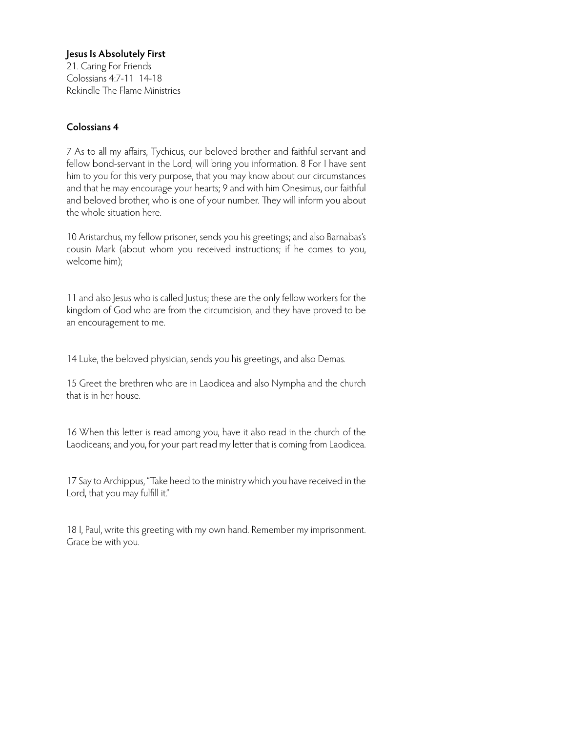21. Caring For Friends Colossians 4:7-11 14-18 Rekindle The Flame Ministries

#### **Colossians 4**

7 As to all my affairs, Tychicus, our beloved brother and faithful servant and fellow bond-servant in the Lord, will bring you information. 8 For I have sent him to you for this very purpose, that you may know about our circumstances and that he may encourage your hearts; 9 and with him Onesimus, our faithful and beloved brother, who is one of your number. They will inform you about the whole situation here.

10 Aristarchus, my fellow prisoner, sends you his greetings; and also Barnabas's cousin Mark (about whom you received instructions; if he comes to you, welcome him);

11 and also Jesus who is called Justus; these are the only fellow workers for the kingdom of God who are from the circumcision, and they have proved to be an encouragement to me.

14 Luke, the beloved physician, sends you his greetings, and also Demas.

15 Greet the brethren who are in Laodicea and also Nympha and the church that is in her house.

16 When this letter is read among you, have it also read in the church of the Laodiceans; and you, for your part read my letter that is coming from Laodicea.

17 Say to Archippus, "Take heed to the ministry which you have received in the Lord, that you may fulfill it."

18 I, Paul, write this greeting with my own hand. Remember my imprisonment. Grace be with you.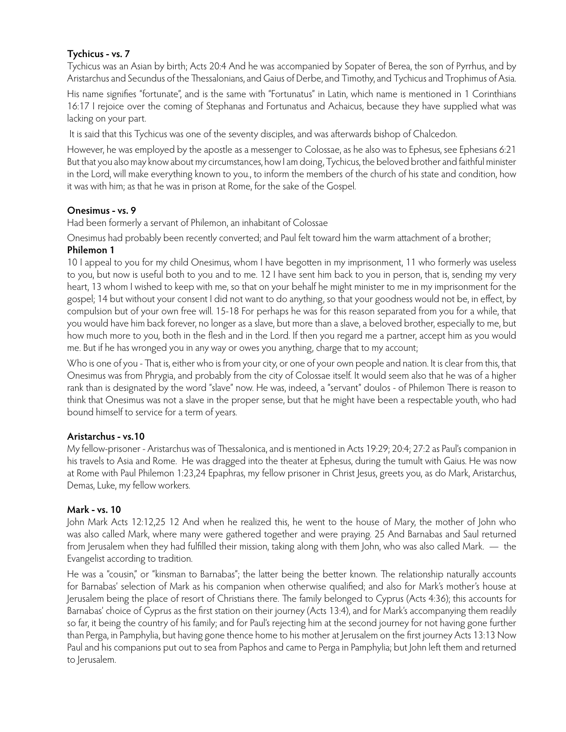### **Tychicus - vs. 7**

Tychicus was an Asian by birth; Acts 20:4 And he was accompanied by Sopater of Berea, the son of Pyrrhus, and by Aristarchus and Secundus of the Thessalonians, and Gaius of Derbe, and Timothy, and Tychicus and Trophimus of Asia.

His name signifies "fortunate", and is the same with "Fortunatus" in Latin, which name is mentioned in 1 Corinthians 16:17 I rejoice over the coming of Stephanas and Fortunatus and Achaicus, because they have supplied what was lacking on your part.

It is said that this Tychicus was one of the seventy disciples, and was afterwards bishop of Chalcedon.

However, he was employed by the apostle as a messenger to Colossae, as he also was to Ephesus, see Ephesians 6:21 But that you also may know about my circumstances, how I am doing, Tychicus, the beloved brother and faithful minister in the Lord, will make everything known to you., to inform the members of the church of his state and condition, how it was with him; as that he was in prison at Rome, for the sake of the Gospel.

#### **Onesimus - vs. 9**

Had been formerly a servant of Philemon, an inhabitant of Colossae

Onesimus had probably been recently converted; and Paul felt toward him the warm attachment of a brother;

#### **Philemon 1**

10 I appeal to you for my child Onesimus, whom I have begotten in my imprisonment, 11 who formerly was useless to you, but now is useful both to you and to me. 12 I have sent him back to you in person, that is, sending my very heart, 13 whom I wished to keep with me, so that on your behalf he might minister to me in my imprisonment for the gospel; 14 but without your consent I did not want to do anything, so that your goodness would not be, in effect, by compulsion but of your own free will. 15-18 For perhaps he was for this reason separated from you for a while, that you would have him back forever, no longer as a slave, but more than a slave, a beloved brother, especially to me, but how much more to you, both in the flesh and in the Lord. If then you regard me a partner, accept him as you would me. But if he has wronged you in any way or owes you anything, charge that to my account;

Who is one of you - That is, either who is from your city, or one of your own people and nation. It is clear from this, that Onesimus was from Phrygia, and probably from the city of Colossae itself. It would seem also that he was of a higher rank than is designated by the word "slave" now. He was, indeed, a "servant" doulos - of Philemon There is reason to think that Onesimus was not a slave in the proper sense, but that he might have been a respectable youth, who had bound himself to service for a term of years.

#### **Aristarchus - vs.10**

My fellow-prisoner - Aristarchus was of Thessalonica, and is mentioned in Acts 19:29; 20:4; 27:2 as Paul's companion in his travels to Asia and Rome. He was dragged into the theater at Ephesus, during the tumult with Gaius. He was now at Rome with Paul Philemon 1:23,24 Epaphras, my fellow prisoner in Christ Jesus, greets you, as do Mark, Aristarchus, Demas, Luke, my fellow workers.

#### **Mark - vs. 10**

John Mark Acts 12:12,25 12 And when he realized this, he went to the house of Mary, the mother of John who was also called Mark, where many were gathered together and were praying. 25 And Barnabas and Saul returned from Jerusalem when they had fulfilled their mission, taking along with them John, who was also called Mark. — the Evangelist according to tradition.

He was a "cousin," or "kinsman to Barnabas"; the latter being the better known. The relationship naturally accounts for Barnabas' selection of Mark as his companion when otherwise qualified; and also for Mark's mother's house at Jerusalem being the place of resort of Christians there. The family belonged to Cyprus (Acts 4:36); this accounts for Barnabas' choice of Cyprus as the first station on their journey (Acts 13:4), and for Mark's accompanying them readily so far, it being the country of his family; and for Paul's rejecting him at the second journey for not having gone further than Perga, in Pamphylia, but having gone thence home to his mother at Jerusalem on the first journey Acts 13:13 Now Paul and his companions put out to sea from Paphos and came to Perga in Pamphylia; but John left them and returned to Jerusalem.